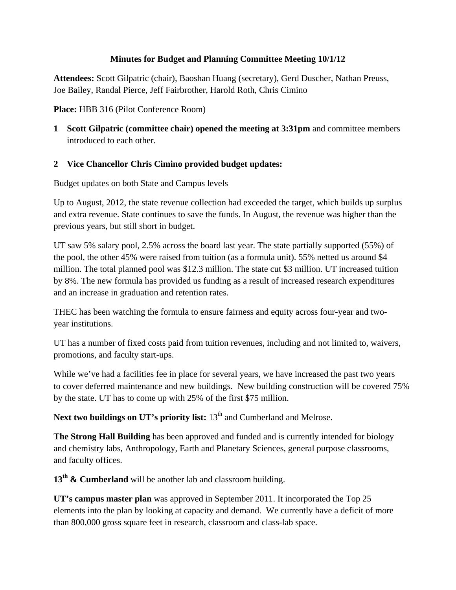#### **Minutes for Budget and Planning Committee Meeting 10/1/12**

**Attendees:** Scott Gilpatric (chair), Baoshan Huang (secretary), Gerd Duscher, Nathan Preuss, Joe Bailey, Randal Pierce, Jeff Fairbrother, Harold Roth, Chris Cimino

**Place:** HBB 316 (Pilot Conference Room)

**1 Scott Gilpatric (committee chair) opened the meeting at 3:31pm** and committee members introduced to each other.

### **2 Vice Chancellor Chris Cimino provided budget updates:**

Budget updates on both State and Campus levels

Up to August, 2012, the state revenue collection had exceeded the target, which builds up surplus and extra revenue. State continues to save the funds. In August, the revenue was higher than the previous years, but still short in budget.

UT saw 5% salary pool, 2.5% across the board last year. The state partially supported (55%) of the pool, the other 45% were raised from tuition (as a formula unit). 55% netted us around \$4 million. The total planned pool was \$12.3 million. The state cut \$3 million. UT increased tuition by 8%. The new formula has provided us funding as a result of increased research expenditures and an increase in graduation and retention rates.

THEC has been watching the formula to ensure fairness and equity across four-year and twoyear institutions.

UT has a number of fixed costs paid from tuition revenues, including and not limited to, waivers, promotions, and faculty start-ups.

While we've had a facilities fee in place for several years, we have increased the past two years to cover deferred maintenance and new buildings. New building construction will be covered 75% by the state. UT has to come up with 25% of the first \$75 million.

**Next two buildings on UT's priority list:** 13<sup>th</sup> and Cumberland and Melrose.

**The Strong Hall Building** has been approved and funded and is currently intended for biology and chemistry labs, Anthropology, Earth and Planetary Sciences, general purpose classrooms, and faculty offices.

13<sup>th</sup> & Cumberland will be another lab and classroom building.

**UT's campus master plan** was approved in September 2011. It incorporated the Top 25 elements into the plan by looking at capacity and demand. We currently have a deficit of more than 800,000 gross square feet in research, classroom and class-lab space.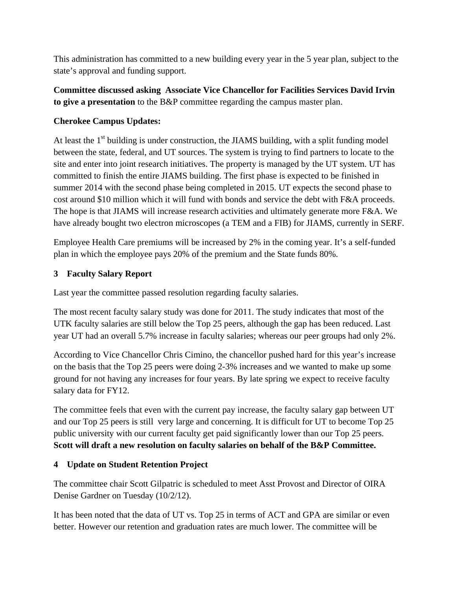This administration has committed to a new building every year in the 5 year plan, subject to the state's approval and funding support.

## **Committee discussed asking Associate Vice Chancellor for Facilities Services David Irvin to give a presentation** to the B&P committee regarding the campus master plan.

# **Cherokee Campus Updates:**

At least the  $1<sup>st</sup>$  building is under construction, the JIAMS building, with a split funding model between the state, federal, and UT sources. The system is trying to find partners to locate to the site and enter into joint research initiatives. The property is managed by the UT system. UT has committed to finish the entire JIAMS building. The first phase is expected to be finished in summer 2014 with the second phase being completed in 2015. UT expects the second phase to cost around \$10 million which it will fund with bonds and service the debt with F&A proceeds. The hope is that JIAMS will increase research activities and ultimately generate more F&A. We have already bought two electron microscopes (a TEM and a FIB) for JIAMS, currently in SERF.

Employee Health Care premiums will be increased by 2% in the coming year. It's a self-funded plan in which the employee pays 20% of the premium and the State funds 80%.

### **3 Faculty Salary Report**

Last year the committee passed resolution regarding faculty salaries.

The most recent faculty salary study was done for 2011. The study indicates that most of the UTK faculty salaries are still below the Top 25 peers, although the gap has been reduced. Last year UT had an overall 5.7% increase in faculty salaries; whereas our peer groups had only 2%.

According to Vice Chancellor Chris Cimino, the chancellor pushed hard for this year's increase on the basis that the Top 25 peers were doing 2-3% increases and we wanted to make up some ground for not having any increases for four years. By late spring we expect to receive faculty salary data for FY12.

The committee feels that even with the current pay increase, the faculty salary gap between UT and our Top 25 peers is still very large and concerning. It is difficult for UT to become Top 25 public university with our current faculty get paid significantly lower than our Top 25 peers. **Scott will draft a new resolution on faculty salaries on behalf of the B&P Committee.**

### **4 Update on Student Retention Project**

The committee chair Scott Gilpatric is scheduled to meet Asst Provost and Director of OIRA Denise Gardner on Tuesday (10/2/12).

It has been noted that the data of UT vs. Top 25 in terms of ACT and GPA are similar or even better. However our retention and graduation rates are much lower. The committee will be